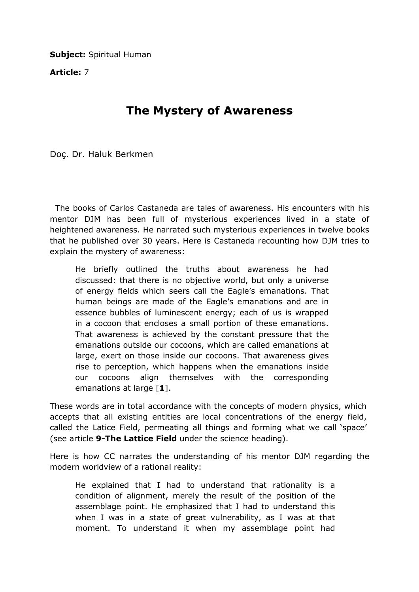**Subject: Spiritual Human** 

Article: 7

## The Mystery of Awareness

Doç. Dr. Haluk Berkmen

 The books of Carlos Castaneda are tales of awareness. His encounters with his mentor DJM has been full of mysterious experiences lived in a state of heightened awareness. He narrated such mysterious experiences in twelve books that he published over 30 years. Here is Castaneda recounting how DJM tries to explain the mystery of awareness:

He briefly outlined the truths about awareness he had discussed: that there is no objective world, but only a universe of energy fields which seers call the Eagle's emanations. That human beings are made of the Eagle's emanations and are in essence bubbles of luminescent energy; each of us is wrapped in a cocoon that encloses a small portion of these emanations. That awareness is achieved by the constant pressure that the emanations outside our cocoons, which are called emanations at large, exert on those inside our cocoons. That awareness gives rise to perception, which happens when the emanations inside our cocoons align themselves with the corresponding emanations at large [1].

These words are in total accordance with the concepts of modern physics, which accepts that all existing entities are local concentrations of the energy field, called the Latice Field, permeating all things and forming what we call 'space' (see article 9-The Lattice Field under the science heading).

Here is how CC narrates the understanding of his mentor DJM regarding the modern worldview of a rational reality:

He explained that I had to understand that rationality is a condition of alignment, merely the result of the position of the assemblage point. He emphasized that I had to understand this when I was in a state of great vulnerability, as I was at that moment. To understand it when my assemblage point had